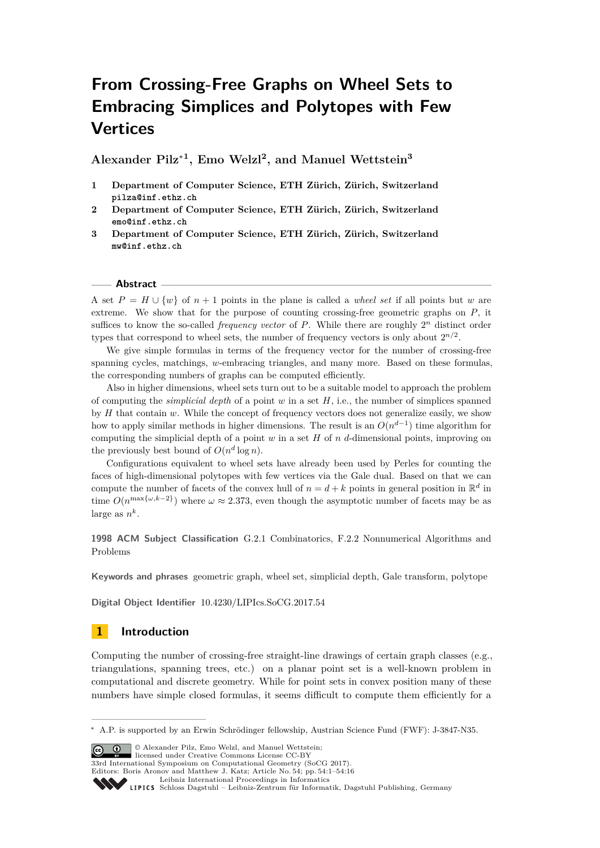# **From Crossing-Free Graphs on Wheel Sets to Embracing Simplices and Polytopes with Few Vertices**

**Alexander Pilz**<sup>∗</sup>**<sup>1</sup> , Emo Welzl<sup>2</sup> , and Manuel Wettstein<sup>3</sup>**

- **1 Department of Computer Science, ETH Zürich, Zürich, Switzerland pilza@inf.ethz.ch**
- **2 Department of Computer Science, ETH Zürich, Zürich, Switzerland emo@inf.ethz.ch**
- **3 Department of Computer Science, ETH Zürich, Zürich, Switzerland mw@inf.ethz.ch**

## **Abstract**

A set  $P = H \cup \{w\}$  of  $n + 1$  points in the plane is called a *wheel set* if all points but *w* are extreme. We show that for the purpose of counting crossing-free geometric graphs on *P*, it suffices to know the so-called *frequency vector* of P. While there are roughly  $2^n$  distinct order types that correspond to wheel sets, the number of frequency vectors is only about  $2^{n/2}$ .

We give simple formulas in terms of the frequency vector for the number of crossing-free spanning cycles, matchings, *w*-embracing triangles, and many more. Based on these formulas, the corresponding numbers of graphs can be computed efficiently.

Also in higher dimensions, wheel sets turn out to be a suitable model to approach the problem of computing the *simplicial depth* of a point *w* in a set *H*, i.e., the number of simplices spanned by *H* that contain *w*. While the concept of frequency vectors does not generalize easily, we show how to apply similar methods in higher dimensions. The result is an  $O(n^{d-1})$  time algorithm for computing the simplicial depth of a point *w* in a set *H* of *n d*-dimensional points, improving on the previously best bound of  $O(n^d \log n)$ .

Configurations equivalent to wheel sets have already been used by Perles for counting the faces of high-dimensional polytopes with few vertices via the Gale dual. Based on that we can compute the number of facets of the convex hull of  $n = d + k$  points in general position in  $\mathbb{R}^d$  in time  $O(n^{\max{\{\omega, k-2\}}})$  where  $\omega \approx 2.373$ , even though the asymptotic number of facets may be as large as  $n^k$ .

**1998 ACM Subject Classification** G.2.1 Combinatorics, F.2.2 Nonnumerical Algorithms and Problems

**Keywords and phrases** geometric graph, wheel set, simplicial depth, Gale transform, polytope

**Digital Object Identifier** [10.4230/LIPIcs.SoCG.2017.54](http://dx.doi.org/10.4230/LIPIcs.SoCG.2017.54)

# **1 Introduction**

Computing the number of crossing-free straight-line drawings of certain graph classes (e.g., triangulations, spanning trees, etc.) on a planar point set is a well-known problem in computational and discrete geometry. While for point sets in convex position many of these numbers have simple closed formulas, it seems difficult to compute them efficiently for a

**c**  $\bullet$   $\bullet$   $\bullet$   $\bullet$  Alexander Pilz, Emo Welzl, and Manuel Wettstein:

licensed under Creative Commons License CC-BY

33rd International Symposium on Computational Geometry (SoCG 2017).

<sup>∗</sup> A.P. is supported by an Erwin Schrödinger fellowship, Austrian Science Fund (FWF): J-3847-N35.

Editors: Boris Aronov and Matthew J. Katz; Article No. 54; pp. 54:1–54[:16](#page-15-0) [Leibniz International Proceedings in Informatics](http://www.dagstuhl.de/lipics/)

[Schloss Dagstuhl – Leibniz-Zentrum für Informatik, Dagstuhl Publishing, Germany](http://www.dagstuhl.de)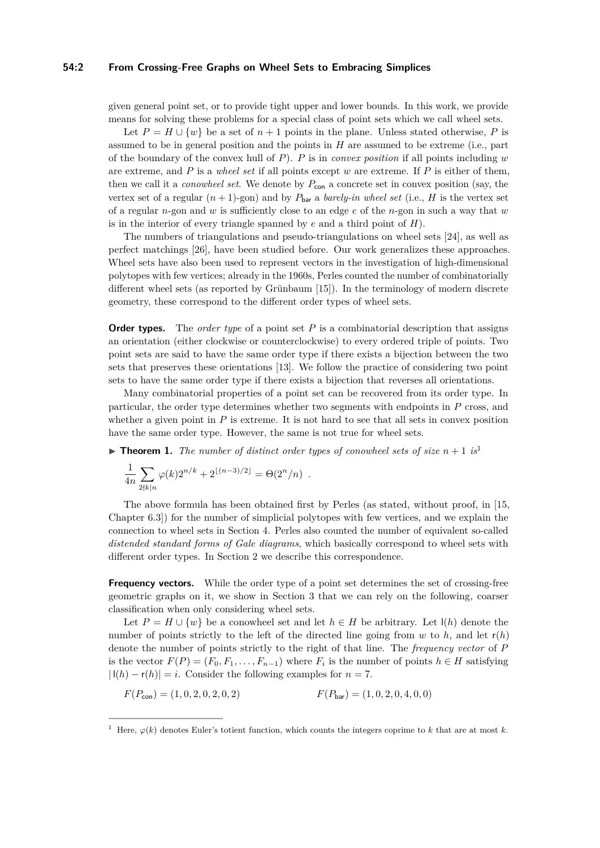## **54:2 From Crossing-Free Graphs on Wheel Sets to Embracing Simplices**

given general point set, or to provide tight upper and lower bounds. In this work, we provide means for solving these problems for a special class of point sets which we call wheel sets.

Let  $P = H \cup \{w\}$  be a set of  $n + 1$  points in the plane. Unless stated otherwise, P is assumed to be in general position and the points in *H* are assumed to be extreme (i.e., part of the boundary of the convex hull of *P*). *P* is in *convex position* if all points including *w* are extreme, and *P* is a *wheel set* if all points except *w* are extreme. If *P* is either of them, then we call it a *conowheel set*. We denote by  $P_{con}$  a concrete set in convex position (say, the vertex set of a regular  $(n+1)$ -gon) and by  $P_{\text{bar}}$  a *barely-in wheel set* (i.e., *H* is the vertex set of a regular *n*-gon and *w* is sufficiently close to an edge *e* of the *n*-gon in such a way that *w* is in the interior of every triangle spanned by *e* and a third point of *H*).

The numbers of triangulations and pseudo-triangulations on wheel sets [\[24\]](#page-14-0), as well as perfect matchings [\[26\]](#page-14-1), have been studied before. Our work generalizes these approaches. Wheel sets have also been used to represent vectors in the investigation of high-dimensional polytopes with few vertices; already in the 1960s, Perles counted the number of combinatorially different wheel sets (as reported by Grünbaum [\[15\]](#page-14-2)). In the terminology of modern discrete geometry, these correspond to the different order types of wheel sets.

**Order types.** The *order type* of a point set P is a combinatorial description that assigns an orientation (either clockwise or counterclockwise) to every ordered triple of points. Two point sets are said to have the same order type if there exists a bijection between the two sets that preserves these orientations [\[13\]](#page-14-3). We follow the practice of considering two point sets to have the same order type if there exists a bijection that reverses all orientations.

Many combinatorial properties of a point set can be recovered from its order type. In particular, the order type determines whether two segments with endpoints in *P* cross, and whether a given point in  $P$  is extreme. It is not hard to see that all sets in convex position have the same order type. However, the same is not true for wheel sets.

<span id="page-1-1"></span>**Findment [1](#page-1-0).** The number of distinct order types of conowheel sets of size  $n + 1$  is<sup>1</sup>

$$
\frac{1}{4n} \sum_{2\nmid k|n} \varphi(k) 2^{n/k} + 2^{\lfloor (n-3)/2 \rfloor} = \Theta(2^n/n) .
$$

The above formula has been obtained first by Perles (as stated, without proof, in [\[15,](#page-14-2) Chapter 6.3]) for the number of simplicial polytopes with few vertices, and we explain the connection to wheel sets in Section [4.](#page-9-0) Perles also counted the number of equivalent so-called *distended standard forms of Gale diagrams*, which basically correspond to wheel sets with different order types. In Section [2](#page-3-0) we describe this correspondence.

**Frequency vectors.** While the order type of a point set determines the set of crossing-free geometric graphs on it, we show in Section [3](#page-5-0) that we can rely on the following, coarser classification when only considering wheel sets.

Let  $P = H \cup \{w\}$  be a conowheel set and let  $h \in H$  be arbitrary. Let  $I(h)$  denote the number of points strictly to the left of the directed line going from  $w$  to  $h$ , and let  $r(h)$ denote the number of points strictly to the right of that line. The *frequency vector* of *P* is the vector  $F(P) = (F_0, F_1, \ldots, F_{n-1})$  where  $F_i$  is the number of points  $h \in H$  satisfying  $|I(h) - r(h)| = i$ . Consider the following examples for  $n = 7$ .

$$
F(P_{\text{con}}) = (1, 0, 2, 0, 2, 0, 2)
$$
\n
$$
F(P_{\text{bar}}) = (1, 0, 2, 0, 4, 0, 0)
$$

<span id="page-1-0"></span><sup>&</sup>lt;sup>1</sup> Here,  $\varphi(k)$  denotes Euler's totient function, which counts the integers coprime to k that are at most k.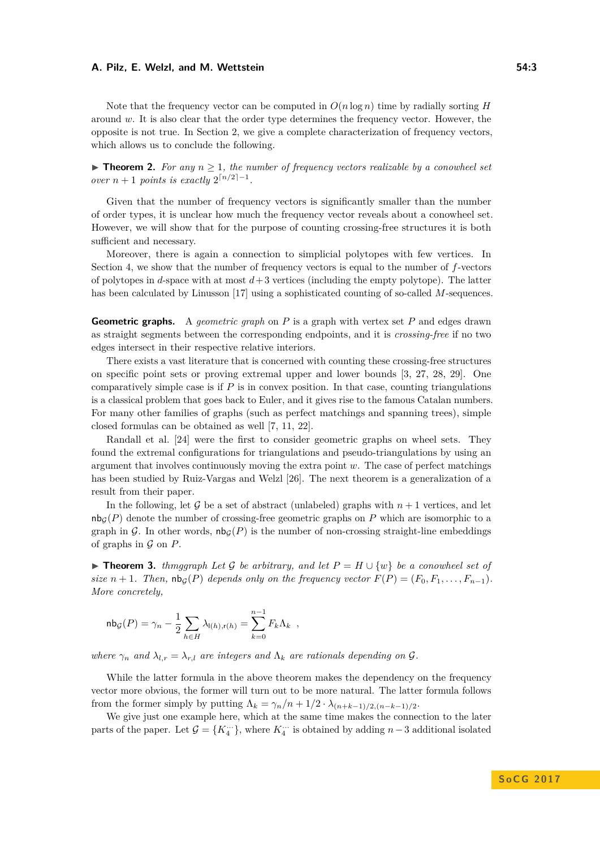Note that the frequency vector can be computed in  $O(n \log n)$  time by radially sorting *H* around *w*. It is also clear that the order type determines the frequency vector. However, the opposite is not true. In Section [2,](#page-3-0) we give a complete characterization of frequency vectors, which allows us to conclude the following.

<span id="page-2-1"></span>**► Theorem 2.** For any  $n \geq 1$ , the number of frequency vectors realizable by a conowheel set *over*  $n + 1$  *points is exactly*  $2^{\lceil n/2 \rceil - 1}$ *.* 

Given that the number of frequency vectors is significantly smaller than the number of order types, it is unclear how much the frequency vector reveals about a conowheel set. However, we will show that for the purpose of counting crossing-free structures it is both sufficient and necessary.

Moreover, there is again a connection to simplicial polytopes with few vertices. In Section [4,](#page-9-0) we show that the number of frequency vectors is equal to the number of *f*-vectors of polytopes in  $d$ -space with at most  $d+3$  vertices (including the empty polytope). The latter has been calculated by Linusson [\[17\]](#page-14-4) using a sophisticated counting of so-called *M*-sequences.

**Geometric graphs.** A *geometric graph* on *P* is a graph with vertex set *P* and edges drawn as straight segments between the corresponding endpoints, and it is *crossing-free* if no two edges intersect in their respective relative interiors.

There exists a vast literature that is concerned with counting these crossing-free structures on specific point sets or proving extremal upper and lower bounds [\[3,](#page-13-0) [27,](#page-14-5) [28,](#page-14-6) [29\]](#page-15-1). One comparatively simple case is if *P* is in convex position. In that case, counting triangulations is a classical problem that goes back to Euler, and it gives rise to the famous Catalan numbers. For many other families of graphs (such as perfect matchings and spanning trees), simple closed formulas can be obtained as well [\[7,](#page-14-7) [11,](#page-14-8) [22\]](#page-14-9).

Randall et al. [\[24\]](#page-14-0) were the first to consider geometric graphs on wheel sets. They found the extremal configurations for triangulations and pseudo-triangulations by using an argument that involves continuously moving the extra point *w*. The case of perfect matchings has been studied by Ruiz-Vargas and Welzl [\[26\]](#page-14-1). The next theorem is a generalization of a result from their paper.

In the following, let  $\mathcal G$  be a set of abstract (unlabeled) graphs with  $n+1$  vertices, and let  $n\mathsf{b}_G(P)$  denote the number of crossing-free geometric graphs on P which are isomorphic to a graph in G. In other words,  $nb_G(P)$  is the number of non-crossing straight-line embeddings of graphs in  $G$  on  $P$ .

<span id="page-2-0"></span>**► Theorem 3.** *thmggraph Let* G *be arbitrary, and let*  $P = H \cup \{w\}$  *be a conowheel set of size*  $n + 1$ *. Then,*  $nb_G(P)$  *depends only on the frequency vector*  $F(P) = (F_0, F_1, \ldots, F_{n-1})$ *. More concretely,*

$$
\operatorname{nb}_{\mathcal{G}}(P) = \gamma_n - \frac{1}{2} \sum_{h \in H} \lambda_{\mathsf{I}(h), \mathsf{r}(h)} = \sum_{k=0}^{n-1} F_k \Lambda_k ,
$$

*where*  $\gamma_n$  *and*  $\lambda_{l,r} = \lambda_{r,l}$  *are integers and*  $\Lambda_k$  *are rationals depending on*  $\mathcal{G}$ *.* 

While the latter formula in the above theorem makes the dependency on the frequency vector more obvious, the former will turn out to be more natural. The latter formula follows from the former simply by putting  $\Lambda_k = \gamma_n/n + 1/2 \cdot \lambda_{(n+k-1)/2,(n-k-1)/2}$ .

We give just one example here, which at the same time makes the connection to the later parts of the paper. Let  $\mathcal{G} = \{K_4^{\cdots}\}\$ , where  $K_4^{\cdots}$  is obtained by adding  $n-3$  additional isolated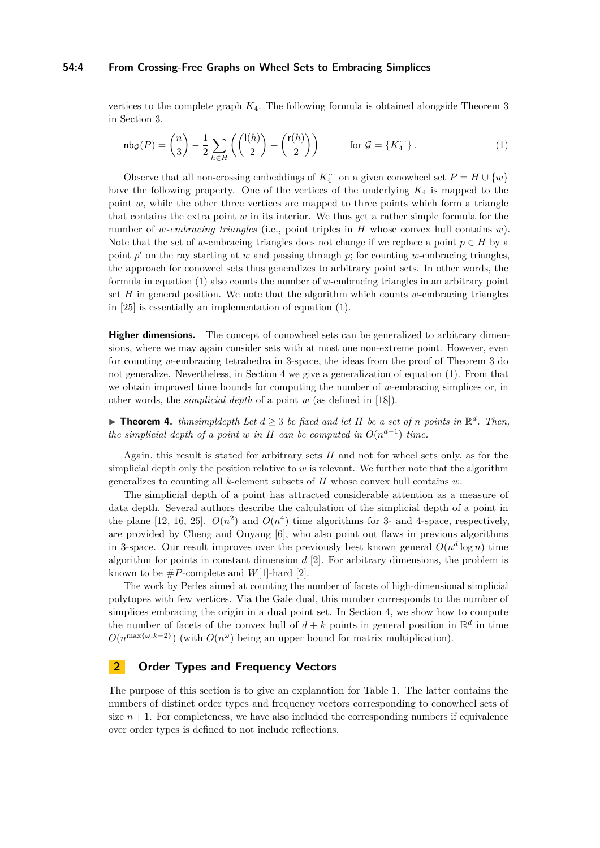## **54:4 From Crossing-Free Graphs on Wheel Sets to Embracing Simplices**

vertices to the complete graph *K*4. The following formula is obtained alongside Theorem [3](#page-2-0) in Section [3.](#page-5-0)

<span id="page-3-1"></span>
$$
\mathsf{nb}\mathsf{g}(P) = \binom{n}{3} - \frac{1}{2} \sum_{h \in H} \left( \binom{\mathsf{I}(h)}{2} + \binom{\mathsf{r}(h)}{2} \right) \qquad \text{for } \mathcal{G} = \{K_4^{\cdots}\}.
$$
 (1)

Observe that all non-crossing embeddings of  $K_4^{\ldots}$  on a given conowheel set  $P = H \cup \{w\}$ have the following property. One of the vertices of the underlying *K*<sup>4</sup> is mapped to the point  $w$ , while the other three vertices are mapped to three points which form a triangle that contains the extra point *w* in its interior. We thus get a rather simple formula for the number of *w-embracing triangles* (i.e., point triples in *H* whose convex hull contains *w*). Note that the set of *w*-embracing triangles does not change if we replace a point  $p \in H$  by a point  $p'$  on the ray starting at  $w$  and passing through  $p$ ; for counting  $w$ -embracing triangles, the approach for conoweel sets thus generalizes to arbitrary point sets. In other words, the formula in equation [\(1\)](#page-3-1) also counts the number of *w*-embracing triangles in an arbitrary point set *H* in general position. We note that the algorithm which counts *w*-embracing triangles in [\[25\]](#page-14-10) is essentially an implementation of equation [\(1\)](#page-3-1).

**Higher dimensions.** The concept of conowheel sets can be generalized to arbitrary dimensions, where we may again consider sets with at most one non-extreme point. However, even for counting *w*-embracing tetrahedra in 3-space, the ideas from the proof of Theorem [3](#page-2-0) do not generalize. Nevertheless, in Section [4](#page-9-0) we give a generalization of equation [\(1\)](#page-3-1). From that we obtain improved time bounds for computing the number of *w*-embracing simplices or, in other words, the *simplicial depth* of a point *w* (as defined in [\[18\]](#page-14-11)).

<span id="page-3-2"></span>▶ **Theorem 4.** *thmsimpldepth Let*  $d \geq 3$  *be fixed and let*  $H$  *be a set of*  $n$  *points in*  $\mathbb{R}^d$ *. Then, the simplicial depth of a point w in H can be computed in*  $O(n^{d-1})$  *time.* 

Again, this result is stated for arbitrary sets *H* and not for wheel sets only, as for the simplicial depth only the position relative to *w* is relevant. We further note that the algorithm generalizes to counting all *k*-element subsets of *H* whose convex hull contains *w*.

The simplicial depth of a point has attracted considerable attention as a measure of data depth. Several authors describe the calculation of the simplicial depth of a point in the plane [\[12,](#page-14-12) [16,](#page-14-13) [25\]](#page-14-10).  $O(n^2)$  and  $O(n^4)$  time algorithms for 3- and 4-space, respectively, are provided by Cheng and Ouyang [\[6\]](#page-13-1), who also point out flaws in previous algorithms in 3-space. Our result improves over the previously best known general  $O(n^d \log n)$  time algorithm for points in constant dimension *d* [\[2\]](#page-13-2). For arbitrary dimensions, the problem is known to be  $\#P$ -complete and *W*[1]-hard [\[2\]](#page-13-2).

The work by Perles aimed at counting the number of facets of high-dimensional simplicial polytopes with few vertices. Via the Gale dual, this number corresponds to the number of simplices embracing the origin in a dual point set. In Section [4,](#page-9-0) we show how to compute the number of facets of the convex hull of  $d + k$  points in general position in  $\mathbb{R}^d$  in time  $O(n^{\max\{\omega, k-2\}})$  (with  $O(n^{\omega})$  being an upper bound for matrix multiplication).

# <span id="page-3-0"></span>**2 Order Types and Frequency Vectors**

The purpose of this section is to give an explanation for Table [1.](#page-4-0) The latter contains the numbers of distinct order types and frequency vectors corresponding to conowheel sets of size  $n+1$ . For completeness, we have also included the corresponding numbers if equivalence over order types is defined to not include reflections.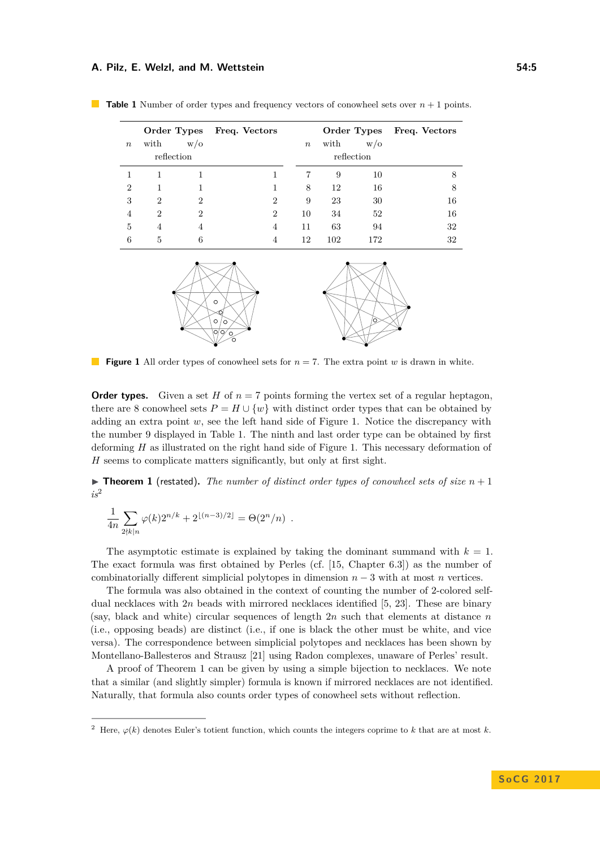| Freq. Vectors |
|---------------|
|               |
|               |
| 8             |
| 8             |
| 16            |
| 16            |
| 32            |
| 32            |
|               |

<span id="page-4-0"></span>

<span id="page-4-1"></span>

**The Second Figure 1** All order types of conowheel sets for  $n = 7$ . The extra point *w* is drawn in white.

**Order types.** Given a set *H* of  $n = 7$  points forming the vertex set of a regular heptagon, there are 8 conowheel sets  $P = H \cup \{w\}$  with distinct order types that can be obtained by adding an extra point *w*, see the left hand side of Figure [1.](#page-4-1) Notice the discrepancy with the number 9 displayed in Table [1.](#page-4-0) The ninth and last order type can be obtained by first deforming *H* as illustrated on the right hand side of Figure [1.](#page-4-1) This necessary deformation of *H* seems to complicate matters significantly, but only at first sight.

 $\triangleright$  **Theorem [1](#page-1-1)** (restated). The number of distinct order types of conowheel sets of size  $n+1$ *is*[2](#page-4-2)

$$
\frac{1}{4n} \sum_{2 \nmid k \mid n} \varphi(k) 2^{n/k} + 2^{\lfloor (n-3)/2 \rfloor} = \Theta(2^n/n) .
$$

The asymptotic estimate is explained by taking the dominant summand with  $k = 1$ . The exact formula was first obtained by Perles (cf. [\[15,](#page-14-2) Chapter 6.3]) as the number of combinatorially different simplicial polytopes in dimension  $n-3$  with at most *n* vertices.

The formula was also obtained in the context of counting the number of 2-colored selfdual necklaces with 2*n* beads with mirrored necklaces identified [\[5,](#page-13-3) [23\]](#page-14-14). These are binary (say, black and white) circular sequences of length 2*n* such that elements at distance *n* (i.e., opposing beads) are distinct (i.e., if one is black the other must be white, and vice versa). The correspondence between simplicial polytopes and necklaces has been shown by Montellano-Ballesteros and Strausz [\[21\]](#page-14-15) using Radon complexes, unaware of Perles' result.

A proof of Theorem [1](#page-1-1) can be given by using a simple bijection to necklaces. We note that a similar (and slightly simpler) formula is known if mirrored necklaces are not identified. Naturally, that formula also counts order types of conowheel sets without reflection.

<span id="page-4-2"></span><sup>&</sup>lt;sup>2</sup> Here,  $\varphi(k)$  denotes Euler's totient function, which counts the integers coprime to *k* that are at most *k*.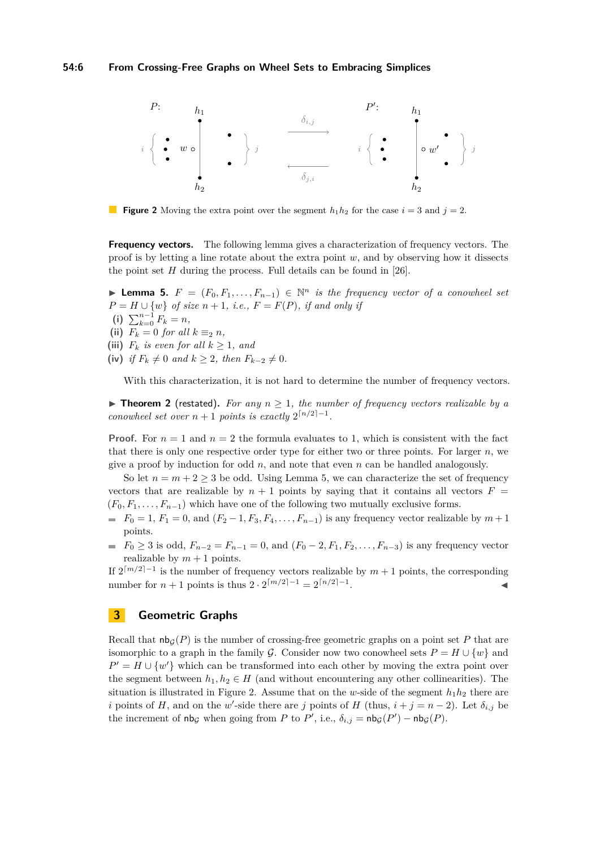<span id="page-5-2"></span>

**Figure 2** Moving the extra point over the segment  $h_1h_2$  for the case  $i = 3$  and  $j = 2$ .

**Frequency vectors.** The following lemma gives a characterization of frequency vectors. The proof is by letting a line rotate about the extra point *w*, and by observing how it dissects the point set *H* during the process. Full details can be found in [\[26\]](#page-14-1).

<span id="page-5-1"></span>**► Lemma 5.**  $F = (F_0, F_1, \ldots, F_{n-1}) \in \mathbb{N}^n$  *is the frequency vector of a conowheel set*  $P = H \cup \{w\}$  *of size*  $n + 1$ *, i.e.,*  $F = F(P)$ *, if and only if* **(i)**  $\sum_{k=0}^{n-1} F_k = n$ , (ii)  $F_k = 0$  *for all*  $k \equiv_2 n$ *,* (iii)  $F_k$  *is even for all*  $k \geq 1$ *, and*  $f(x)$  *if*  $F_k \neq 0$  *and*  $k \geq 2$ *, then*  $F_{k-2} \neq 0$ *.* 

With this characterization, it is not hard to determine the number of frequency vectors.

 $\triangleright$  **Theorem [2](#page-2-1)** (restated). For any  $n > 1$ , the number of frequency vectors realizable by a *conowheel set over*  $n + 1$  *points is exactly*  $2^{\lceil n/2 \rceil - 1}$ *.* 

**Proof.** For  $n = 1$  and  $n = 2$  the formula evaluates to 1, which is consistent with the fact that there is only one respective order type for either two or three points. For larger *n*, we give a proof by induction for odd *n*, and note that even *n* can be handled analogously.

So let  $n = m + 2 \geq 3$  be odd. Using Lemma [5,](#page-5-1) we can characterize the set of frequency vectors that are realizable by  $n + 1$  points by saying that it contains all vectors  $F =$  $(F_0, F_1, \ldots, F_{n-1})$  which have one of the following two mutually exclusive forms.

- $F_0 = 1, F_1 = 0, \text{ and } (F_2 1, F_3, F_4, \ldots, F_{n-1})$  is any frequency vector realizable by  $m+1$ points.
- *■*  $F_0$  *≥ 3 is odd,*  $F_{n-2} = F_{n-1} = 0$ *, and*  $(F_0 2, F_1, F_2, \ldots, F_{n-3})$  *is any frequency vector* realizable by  $m + 1$  points.

If  $2^{\lceil m/2 \rceil-1}$  is the number of frequency vectors realizable by  $m+1$  points, the corresponding number for  $n + 1$  points is thus  $2 \cdot 2^{\lceil m/2 \rceil - 1} = 2^{\lceil n/2 \rceil - 1}$ . John Park Research (1986)

# <span id="page-5-0"></span>**3 Geometric Graphs**

Recall that  $nb<sub>G</sub>(P)$  is the number of crossing-free geometric graphs on a point set P that are isomorphic to a graph in the family G. Consider now two conowheel sets  $P = H \cup \{w\}$  and  $P' = H \cup \{w'\}$  which can be transformed into each other by moving the extra point over the segment between  $h_1, h_2 \in H$  (and without encountering any other collinearities). The situation is illustrated in Figure [2.](#page-5-2) Assume that on the *w*-side of the segment  $h_1h_2$  there are *i* points of *H*, and on the *w*'-side there are *j* points of *H* (thus,  $i + j = n - 2$ ). Let  $\delta_{i,j}$  be the increment of  $nb_{\mathcal{G}}$  when going from *P* to *P'*, i.e.,  $\delta_{i,j} = nb_{\mathcal{G}}(P') - nb_{\mathcal{G}}(P)$ .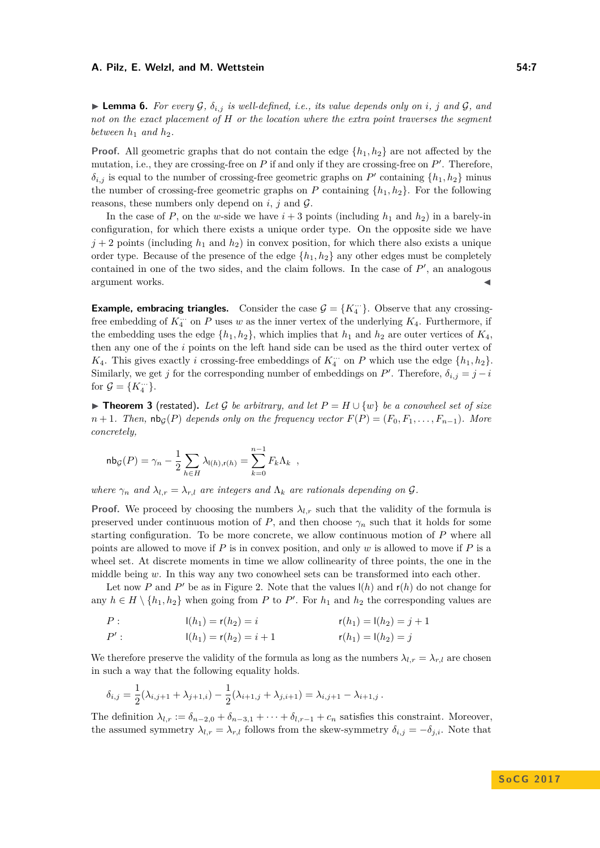<span id="page-6-0"></span>**Example 5.** For every G,  $\delta_{i,j}$  is well-defined, i.e., its value depends only on *i*, *j* and G, and *not on the exact placement of H or the location where the extra point traverses the segment between*  $h_1$  *and*  $h_2$ *.* 

**Proof.** All geometric graphs that do not contain the edge  $\{h_1, h_2\}$  are not affected by the mutation, i.e., they are crossing-free on  $P$  if and only if they are crossing-free on  $P'$ . Therefore,  $\delta_{i,j}$  is equal to the number of crossing-free geometric graphs on *P*<sup> $\prime$ </sup> containing  $\{h_1, h_2\}$  minus the number of crossing-free geometric graphs on *P* containing  $\{h_1, h_2\}$ . For the following reasons, these numbers only depend on  $i$ ,  $j$  and  $\mathcal{G}$ .

In the case of *P*, on the *w*-side we have  $i + 3$  points (including  $h_1$  and  $h_2$ ) in a barely-in configuration, for which there exists a unique order type. On the opposite side we have  $j+2$  points (including  $h_1$  and  $h_2$ ) in convex position, for which there also exists a unique order type. Because of the presence of the edge {*h*1*, h*2} any other edges must be completely contained in one of the two sides, and the claim follows. In the case of  $P'$ , an analogous argument works.

**Example, embracing triangles.** Consider the case  $\mathcal{G} = \{K_4^{\ldots}\}\$ . Observe that any crossingfree embedding of  $K_4^{\ldots}$  on *P* uses *w* as the inner vertex of the underlying  $K_4$ . Furthermore, if the embedding uses the edge  $\{h_1, h_2\}$ , which implies that  $h_1$  and  $h_2$  are outer vertices of  $K_4$ , then any one of the *i* points on the left hand side can be used as the third outer vertex of *K*<sub>4</sub>. This gives exactly *i* crossing-free embeddings of  $K_4^{\cdots}$  on *P* which use the edge  $\{h_1, h_2\}$ . Similarly, we get *j* for the corresponding number of embeddings on *P*'. Therefore,  $\delta_{i,j} = j - i$ for  $\mathcal{G} = \{K_4^{\ldots}\}.$ 

**► Theorem [3](#page-2-0)** (restated). Let G be arbitrary, and let  $P = H \cup \{w\}$  be a conowheel set of size  $n+1$ *. Then,*  $nb_G(P)$  *depends only on the frequency vector*  $F(P) = (F_0, F_1, \ldots, F_{n-1})$ *. More concretely,*

$$
\mathsf{nb}_{\mathcal{G}}(P) = \gamma_n - \frac{1}{2} \sum_{h \in H} \lambda_{\mathsf{I}(h), \mathsf{r}(h)} = \sum_{k=0}^{n-1} F_k \Lambda_k ,
$$

*where*  $\gamma_n$  *and*  $\lambda_{l,r} = \lambda_{r,l}$  *are integers and*  $\Lambda_k$  *are rationals depending on*  $\mathcal{G}$ *.* 

**Proof.** We proceed by choosing the numbers  $\lambda_{l,r}$  such that the validity of the formula is preserved under continuous motion of *P*, and then choose  $\gamma_n$  such that it holds for some starting configuration. To be more concrete, we allow continuous motion of *P* where all points are allowed to move if *P* is in convex position, and only *w* is allowed to move if *P* is a wheel set. At discrete moments in time we allow collinearity of three points, the one in the middle being *w*. In this way any two conowheel sets can be transformed into each other.

Let now *P* and *P*' be as in Figure [2.](#page-5-2) Note that the values  $I(h)$  and  $r(h)$  do not change for any  $h \in H \setminus \{h_1, h_2\}$  when going from *P* to *P'*. For  $h_1$  and  $h_2$  the corresponding values are

*P* :  $I(h_1) = r(h_2) = i$   $r(h_1) = I(h_2) = j + 1$ 

$$
P': \qquad \qquad \mathsf{I}(h_1) = \mathsf{r}(h_2) = i + 1 \qquad \qquad \mathsf{r}(h_1) = \mathsf{I}(h_2) = j
$$

We therefore preserve the validity of the formula as long as the numbers  $\lambda_l r = \lambda_r l$  are chosen in such a way that the following equality holds.

$$
\delta_{i,j} = \frac{1}{2}(\lambda_{i,j+1} + \lambda_{j+1,i}) - \frac{1}{2}(\lambda_{i+1,j} + \lambda_{j,i+1}) = \lambda_{i,j+1} - \lambda_{i+1,j}.
$$

The definition  $\lambda_{l,r} := \delta_{n-2,0} + \delta_{n-3,1} + \cdots + \delta_{l,r-1} + c_n$  satisfies this constraint. Moreover, the assumed symmetry  $\lambda_{l,r} = \lambda_{r,l}$  follows from the skew-symmetry  $\delta_{i,j} = -\delta_{j,i}$ . Note that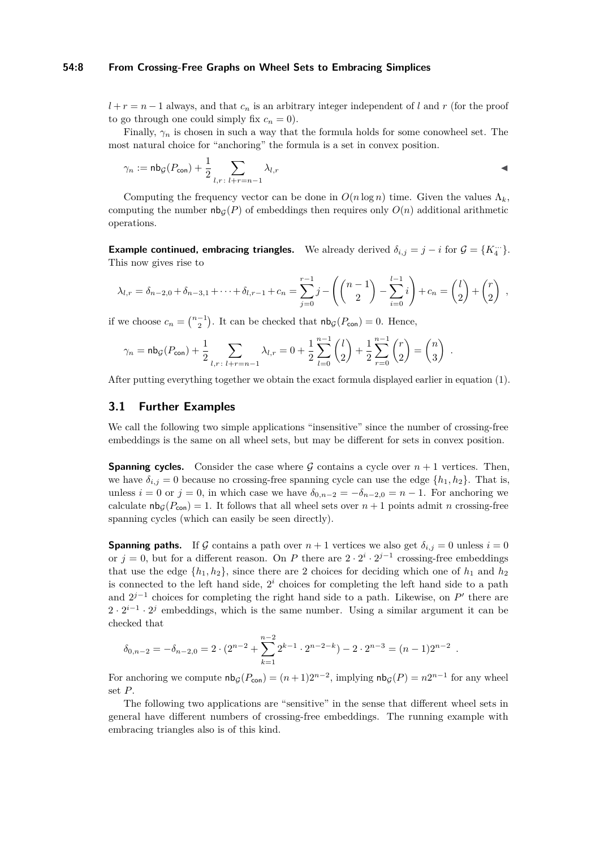## **54:8 From Crossing-Free Graphs on Wheel Sets to Embracing Simplices**

 $l + r = n - 1$  always, and that  $c_n$  is an arbitrary integer independent of *l* and *r* (for the proof to go through one could simply fix  $c_n = 0$ .

Finally,  $\gamma_n$  is chosen in such a way that the formula holds for some conowheel set. The most natural choice for "anchoring" the formula is a set in convex position.

$$
\gamma_n := \mathsf{nb}_{\mathcal{G}}(P_{\mathsf{con}}) + \frac{1}{2} \sum_{l,r \colon l+r=n-1} \lambda_{l,r}
$$

Computing the frequency vector can be done in  $O(n \log n)$  time. Given the values  $\Lambda_k$ , computing the number  $nb<sub>G</sub>(P)$  of embeddings then requires only  $O(n)$  additional arithmetic operations.

**Example continued, embracing triangles.** We already derived  $\delta_{i,j} = j - i$  for  $\mathcal{G} = \{K_4^{\ldots}\}.$ This now gives rise to

$$
\lambda_{l,r} = \delta_{n-2,0} + \delta_{n-3,1} + \dots + \delta_{l,r-1} + c_n = \sum_{j=0}^{r-1} j - \left( \binom{n-1}{2} - \sum_{i=0}^{l-1} i \right) + c_n = \binom{l}{2} + \binom{r}{2} ,
$$

if we choose  $c_n = \binom{n-1}{2}$ . It can be checked that  $\mathsf{nb}_{\mathcal{G}}(P_{\mathsf{con}}) = 0$ . Hence,

$$
\gamma_n = \mathsf{nb}_{\mathcal{G}}(P_{\mathsf{con}}) + \frac{1}{2} \sum_{l,r \colon l+r=n-1} \lambda_{l,r} = 0 + \frac{1}{2} \sum_{l=0}^{n-1} {l \choose 2} + \frac{1}{2} \sum_{r=0}^{n-1} {r \choose 2} = {n \choose 3}.
$$

After putting everything together we obtain the exact formula displayed earlier in equation [\(1\)](#page-3-1).

## **3.1 Further Examples**

We call the following two simple applications "insensitive" since the number of crossing-free embeddings is the same on all wheel sets, but may be different for sets in convex position.

**Spanning cycles.** Consider the case where G contains a cycle over  $n + 1$  vertices. Then, we have  $\delta_{i,j} = 0$  because no crossing-free spanning cycle can use the edge  $\{h_1, h_2\}$ . That is, unless  $i = 0$  or  $j = 0$ , in which case we have  $\delta_{0,n-2} = -\delta_{n-2,0} = n-1$ . For anchoring we calculate  $nb_G(P_{con}) = 1$ . It follows that all wheel sets over  $n + 1$  points admit *n* crossing-free spanning cycles (which can easily be seen directly).

**Spanning paths.** If G contains a path over  $n + 1$  vertices we also get  $\delta_{i,j} = 0$  unless  $i = 0$ or  $j = 0$ , but for a different reason. On *P* there are  $2 \cdot 2^{i} \cdot 2^{j-1}$  crossing-free embeddings that use the edge  $\{h_1, h_2\}$ , since there are 2 choices for deciding which one of  $h_1$  and  $h_2$ is connected to the left hand side,  $2<sup>i</sup>$  choices for completing the left hand side to a path and  $2^{j-1}$  choices for completing the right hand side to a path. Likewise, on  $P'$  there are  $2 \cdot 2^{i-1} \cdot 2^j$  embeddings, which is the same number. Using a similar argument it can be checked that

$$
\delta_{0,n-2} = -\delta_{n-2,0} = 2 \cdot (2^{n-2} + \sum_{k=1}^{n-2} 2^{k-1} \cdot 2^{n-2-k}) - 2 \cdot 2^{n-3} = (n-1)2^{n-2}.
$$

For anchoring we compute  $nb_G(P_{con}) = (n+1)2^{n-2}$ , implying  $nb_G(P) = n2^{n-1}$  for any wheel set *P*.

The following two applications are "sensitive" in the sense that different wheel sets in general have different numbers of crossing-free embeddings. The running example with embracing triangles also is of this kind.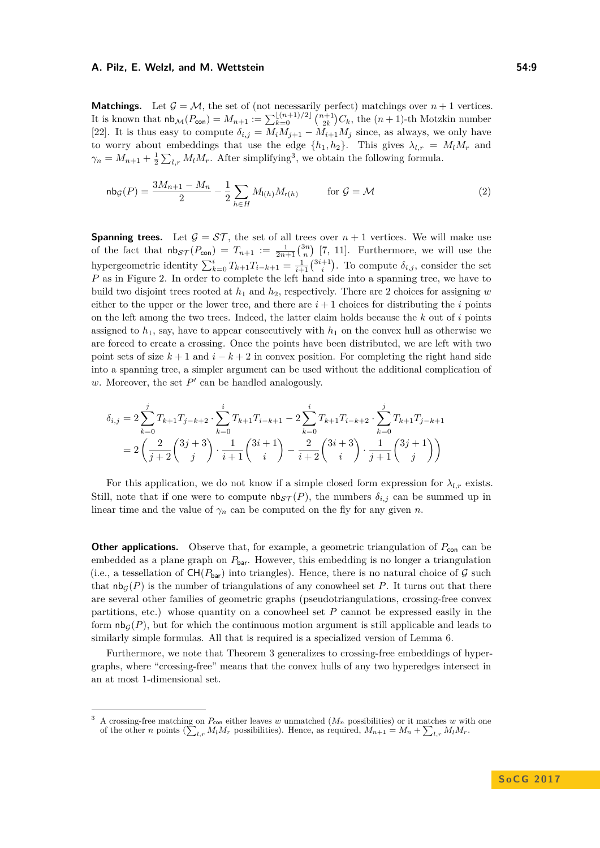**Matchings.** Let  $\mathcal{G} = \mathcal{M}$ , the set of (not necessarily perfect) matchings over  $n + 1$  vertices. It is known that  $nb_{\mathcal{M}}(P_{\text{con}}) = M_{n+1} := \sum_{k=0}^{\lfloor (n+1)/2 \rfloor} \binom{n+1}{2k} C_k$ , the  $(n+1)$ -th Motzkin number [\[22\]](#page-14-9). It is thus easy to compute  $\delta_{i,j} = M_i M_{j+1} - M_{i+1} M_j$  since, as always, we only have to worry about embeddings that use the edge  $\{h_1, h_2\}$ . This gives  $\lambda_{l,r} = M_l M_r$  and  $\gamma_n = M_{n+1} + \frac{1}{2} \sum_{l,r} M_l M_r$ . After simplifying<sup>[3](#page-8-0)</sup>, we obtain the following formula.

$$
\mathsf{nb}_{\mathcal{G}}(P) = \frac{3M_{n+1} - M_n}{2} - \frac{1}{2} \sum_{h \in H} M_{(h)} M_{r(h)} \qquad \text{for } \mathcal{G} = \mathcal{M}
$$
 (2)

**Spanning trees.** Let  $\mathcal{G} = \mathcal{ST}$ , the set of all trees over  $n + 1$  vertices. We will make use of the fact that  $nb_S \tau(P_{con}) = T_{n+1} := \frac{1}{2n+1} {3n \choose n}$  [\[7,](#page-14-7) [11\]](#page-14-8). Furthermore, we will use the hypergeometric identity  $\sum_{k=0}^{i} T_{k+1} T_{i-k+1} = \frac{1}{i+1} {3i+1 \choose i}$ . To compute  $\delta_{i,j}$ , consider the set *P* as in Figure [2.](#page-5-2) In order to complete the left hand side into a spanning tree, we have to build two disjoint trees rooted at  $h_1$  and  $h_2$ , respectively. There are 2 choices for assigning *w* either to the upper or the lower tree, and there are  $i + 1$  choices for distributing the *i* points on the left among the two trees. Indeed, the latter claim holds because the *k* out of *i* points assigned to  $h_1$ , say, have to appear consecutively with  $h_1$  on the convex hull as otherwise we are forced to create a crossing. Once the points have been distributed, we are left with two point sets of size  $k + 1$  and  $i - k + 2$  in convex position. For completing the right hand side into a spanning tree, a simpler argument can be used without the additional complication of  $w$ . Moreover, the set  $P'$  can be handled analogously.

$$
\delta_{i,j} = 2 \sum_{k=0}^{j} T_{k+1} T_{j-k+2} \cdot \sum_{k=0}^{i} T_{k+1} T_{i-k+1} - 2 \sum_{k=0}^{i} T_{k+1} T_{i-k+2} \cdot \sum_{k=0}^{j} T_{k+1} T_{j-k+1}
$$

$$
= 2 \left( \frac{2}{j+2} {3j+3 \choose j} \cdot \frac{1}{i+1} {3i+1 \choose i} - \frac{2}{i+2} {3i+3 \choose i} \cdot \frac{1}{j+1} {3j+1 \choose j} \right)
$$

For this application, we do not know if a simple closed form expression for  $\lambda_{l,r}$  exists. Still, note that if one were to compute  $\text{nb}_{\mathcal{ST}}(P)$ , the numbers  $\delta_{i,j}$  can be summed up in linear time and the value of  $\gamma_n$  can be computed on the fly for any given *n*.

**Other applications.** Observe that, for example, a geometric triangulation of  $P_{\text{con}}$  can be embedded as a plane graph on  $P_{\text{bar}}$ . However, this embedding is no longer a triangulation (i.e., a tessellation of  $CH(P_{bar})$  into triangles). Hence, there is no natural choice of G such that  $n\mathbf{b}_G(P)$  is the number of triangulations of any conowheel set P. It turns out that there are several other families of geometric graphs (pseudotriangulations, crossing-free convex partitions, etc.) whose quantity on a conowheel set *P* cannot be expressed easily in the form  $\mathsf{nb}_{\mathcal{G}}(P)$ , but for which the continuous motion argument is still applicable and leads to similarly simple formulas. All that is required is a specialized version of Lemma [6.](#page-6-0)

Furthermore, we note that Theorem [3](#page-2-0) generalizes to crossing-free embeddings of hypergraphs, where "crossing-free" means that the convex hulls of any two hyperedges intersect in an at most 1-dimensional set.

<span id="page-8-0"></span> $\Lambda$  crossing-free matching on  $P_{\text{con}}$  either leaves *w* unmatched ( $M_n$  possibilities) or it matches *w* with one of the other *n* points  $(\sum_{l,r} M_l M_r)$  possibilities). Hence, as required,  $M_{n+1} = M_n + \sum_{l,r} M_l M_r$ .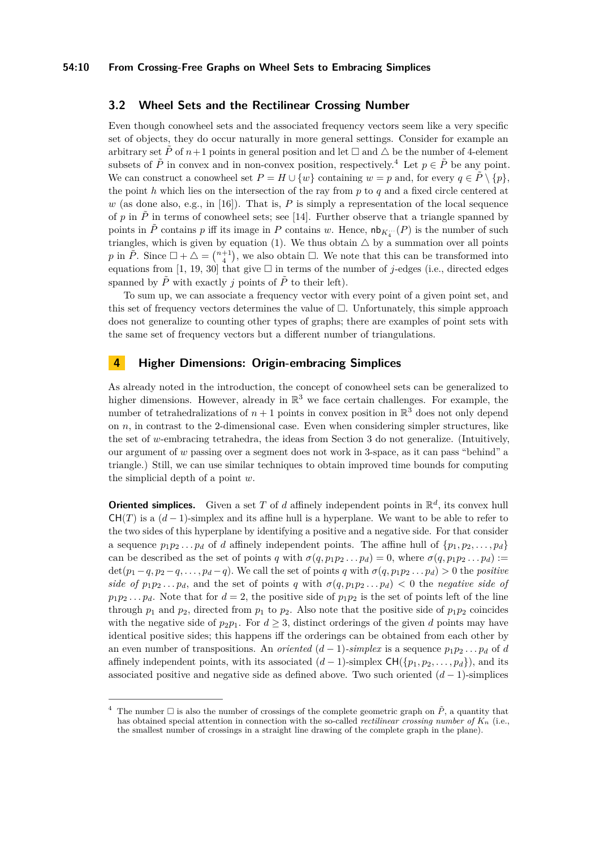# <span id="page-9-2"></span>**3.2 Wheel Sets and the Rectilinear Crossing Number**

Even though conowheel sets and the associated frequency vectors seem like a very specific set of objects, they do occur naturally in more general settings. Consider for example an arbitrary set  $\tilde{P}$  of  $n+1$  points in general position and let  $\Box$  and  $\triangle$  be the number of 4-element subsets of  $\tilde{P}$  in convex and in non-convex position, respectively.<sup>[4](#page-9-1)</sup> Let  $p \in \tilde{P}$  be any point. We can construct a conowheel set  $P = H \cup \{w\}$  containing  $w = p$  and, for every  $q \in \tilde{P} \setminus \{p\}$ , the point *h* which lies on the intersection of the ray from *p* to *q* and a fixed circle centered at  $w$  (as done also, e.g., in [\[16\]](#page-14-13)). That is,  $P$  is simply a representation of the local sequence of p in  $\tilde{P}$  in terms of conowheel sets; see [\[14\]](#page-14-16). Further observe that a triangle spanned by points in  $\tilde{P}$  contains  $p$  iff its image in  $P$  contains  $w$ . Hence,  $\mathsf{nb}_{K_4}$   $(P)$  is the number of such triangles, which is given by equation [\(1\)](#page-3-1). We thus obtain  $\triangle$  by a summation over all points *p* in  $\tilde{P}$ . Since  $\Box + \triangle = \binom{n+1}{4}$ , we also obtain  $\Box$ . We note that this can be transformed into equations from [\[1,](#page-13-4) [19,](#page-14-17) [30\]](#page-15-2) that give  $\Box$  in terms of the number of *j*-edges (i.e., directed edges spanned by  $\tilde{P}$  with exactly *j* points of  $\tilde{P}$  to their left).

To sum up, we can associate a frequency vector with every point of a given point set, and this set of frequency vectors determines the value of  $\Box$ . Unfortunately, this simple approach does not generalize to counting other types of graphs; there are examples of point sets with the same set of frequency vectors but a different number of triangulations.

## <span id="page-9-0"></span>**4 Higher Dimensions: Origin-embracing Simplices**

As already noted in the introduction, the concept of conowheel sets can be generalized to higher dimensions. However, already in  $\mathbb{R}^3$  we face certain challenges. For example, the number of tetrahedralizations of  $n + 1$  points in convex position in  $\mathbb{R}^3$  does not only depend on *n*, in contrast to the 2-dimensional case. Even when considering simpler structures, like the set of *w*-embracing tetrahedra, the ideas from Section [3](#page-5-0) do not generalize. (Intuitively, our argument of *w* passing over a segment does not work in 3-space, as it can pass "behind" a triangle.) Still, we can use similar techniques to obtain improved time bounds for computing the simplicial depth of a point *w*.

**Oriented simplices.** Given a set  $T$  of  $d$  affinely independent points in  $\mathbb{R}^d$ , its convex hull  $CH(T)$  is a  $(d-1)$ -simplex and its affine hull is a hyperplane. We want to be able to refer to the two sides of this hyperplane by identifying a positive and a negative side. For that consider a sequence  $p_1p_2 \ldots p_d$  of *d* affinely independent points. The affine hull of  $\{p_1, p_2, \ldots, p_d\}$ can be described as the set of points *q* with  $\sigma(q, p_1p_2...p_d) = 0$ , where  $\sigma(q, p_1p_2...p_d)$ :=  $\det(p_1 - q, p_2 - q, \ldots, p_d - q)$ . We call the set of points *q* with  $\sigma(q, p_1 p_2 \ldots p_d) > 0$  the *positive side of*  $p_1p_2...p_d$ , and the set of points *q* with  $\sigma(q, p_1p_2...p_d) < 0$  the *negative side of*  $p_1p_2...p_d$ . Note that for  $d=2$ , the positive side of  $p_1p_2$  is the set of points left of the line through  $p_1$  and  $p_2$ , directed from  $p_1$  to  $p_2$ . Also note that the positive side of  $p_1p_2$  coincides with the negative side of  $p_2p_1$ . For  $d \geq 3$ , distinct orderings of the given *d* points may have identical positive sides; this happens iff the orderings can be obtained from each other by an even number of transpositions. An *oriented*  $(d-1)$ *-simplex* is a sequence  $p_1p_2 \ldots p_d$  of *d* affinely independent points, with its associated  $(d-1)$ -simplex  $CH({p_1, p_2, \ldots, p_d})$ , and its associated positive and negative side as defined above. Two such oriented (*d* − 1)-simplices

<span id="page-9-1"></span>The number  $\Box$  is also the number of crossings of the complete geometric graph on  $\tilde{P}$ , a quantity that has obtained special attention in connection with the so-called *rectilinear crossing number of K<sup>n</sup>* (i.e., the smallest number of crossings in a straight line drawing of the complete graph in the plane).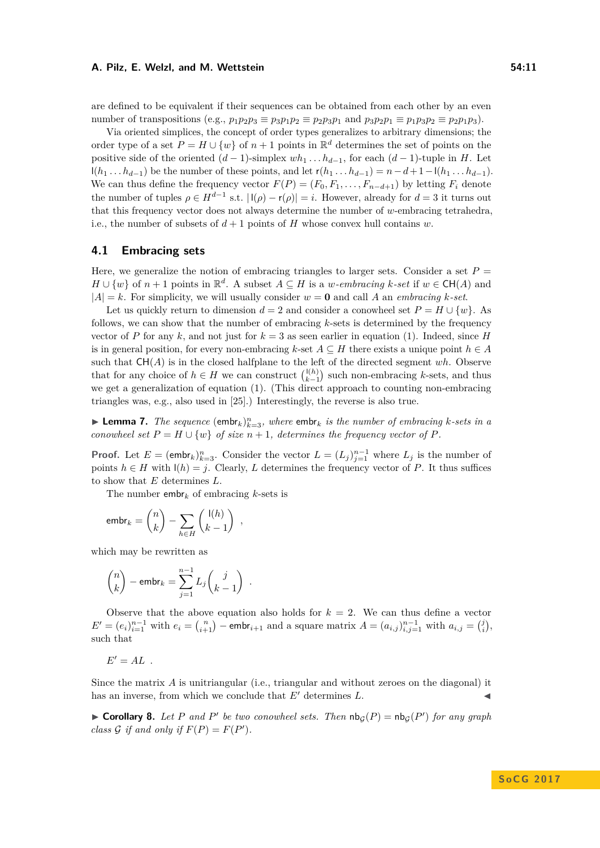are defined to be equivalent if their sequences can be obtained from each other by an even number of transpositions (e.g.,  $p_1p_2p_3 \equiv p_3p_1p_2 \equiv p_2p_3p_1$  and  $p_3p_2p_1 \equiv p_1p_3p_2 \equiv p_2p_1p_3$ ).

Via oriented simplices, the concept of order types generalizes to arbitrary dimensions; the order type of a set  $P = H \cup \{w\}$  of  $n + 1$  points in  $\mathbb{R}^d$  determines the set of points on the positive side of the oriented  $(d-1)$ -simplex  $wh_1 \ldots h_{d-1}$ , for each  $(d-1)$ -tuple in *H*. Let l(*h*<sub>1</sub> *. . . h*<sub>*d*−1</sub>) be the number of these points, and let  $r(h_1 \ldots h_{d-1}) = n - d + 1 - l(h_1 \ldots h_{d-1})$ . We can thus define the frequency vector  $F(P) = (F_0, F_1, \ldots, F_{n-d+1})$  by letting  $F_i$  denote the number of tuples  $\rho \in H^{d-1}$  s.t.  $|I(\rho) - r(\rho)| = i$ . However, already for  $d = 3$  it turns out that this frequency vector does not always determine the number of *w*-embracing tetrahedra, i.e., the number of subsets of  $d+1$  points of *H* whose convex hull contains *w*.

# **4.1 Embracing sets**

Here, we generalize the notion of embracing triangles to larger sets. Consider a set  $P =$ *H* ∪ {*w*} of *n* + 1 points in  $\mathbb{R}^d$ . A subset *A* ⊆ *H* is a *w-embracing k-set* if *w* ∈ CH(*A*) and  $|A| = k$ . For simplicity, we will usually consider  $w = 0$  and call A an *embracing*  $k$ -set.

Let us quickly return to dimension  $d = 2$  and consider a conowheel set  $P = H \cup \{w\}$ . As follows, we can show that the number of embracing *k*-sets is determined by the frequency vector of *P* for any *k*, and not just for  $k = 3$  as seen earlier in equation [\(1\)](#page-3-1). Indeed, since *H* is in general position, for every non-embracing  $k$ -set  $A \subseteq H$  there exists a unique point  $h \in A$ such that  $CH(A)$  is in the closed halfplane to the left of the directed segment  $wh$ . Observe that for any choice of  $h \in H$  we can construct  $\binom{l(h)}{k-1}$  such non-embracing *k*-sets, and thus we get a generalization of equation [\(1\)](#page-3-1). (This direct approach to counting non-embracing triangles was, e.g., also used in [\[25\]](#page-14-10).) Interestingly, the reverse is also true.

<span id="page-10-0"></span>**Example 7.** The sequence  $(\text{embr}_k)_{k=3}^n$ , where  $\text{embr}_k$  is the number of embracing *k*-sets in a *conowheel set*  $P = H \cup \{w\}$  *of size*  $n + 1$ *, determines the frequency vector of*  $P$ *.* 

**Proof.** Let  $E = (\text{embr}_k)_{k=3}^n$ . Consider the vector  $L = (L_j)_{j=1}^{n-1}$  where  $L_j$  is the number of points  $h \in H$  with  $\mathsf{I}(h) = j$ . Clearly, *L* determines the frequency vector of *P*. It thus suffices to show that *E* determines *L*.

The number embr*<sup>k</sup>* of embracing *k*-sets is

$$
\mathrm{embr}_k = \binom{n}{k} - \sum_{h \in H} \binom{\mathrm{I}(h)}{k-1} ,
$$

which may be rewritten as

$$
\binom{n}{k} - \text{embr}_k = \sum_{j=1}^{n-1} L_j \binom{j}{k-1} .
$$

Observe that the above equation also holds for  $k = 2$ . We can thus define a vector  $E' = (e_i)_{i=1}^{n-1}$  with  $e_i = {n \choose i+1}$  – embr<sub>i+1</sub> and a square matrix  $A = (a_{i,j})_{i,j=1}^{n-1}$  with  $a_{i,j} = {j \choose i}$ , such that

 $E' = AL$ .

Since the matrix A is unitriangular (i.e., triangular and without zeroes on the diagonal) it has an inverse, from which we conclude that  $E'$  determines  $L$ .

**Corollary 8.** Let P and P' be two conowheel sets. Then  $nb_G(P) = nb_G(P')$  for any graph *class*  $G$  *if and only if*  $F(P) = F(P')$ *.*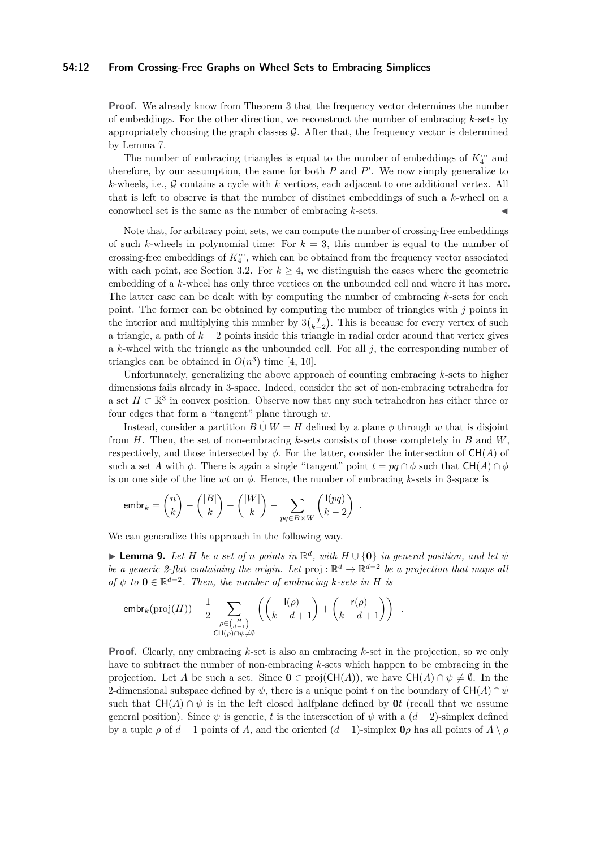## **54:12 From Crossing-Free Graphs on Wheel Sets to Embracing Simplices**

**Proof.** We already know from Theorem [3](#page-2-0) that the frequency vector determines the number of embeddings. For the other direction, we reconstruct the number of embracing *k*-sets by appropriately choosing the graph classes  $\mathcal{G}$ . After that, the frequency vector is determined by Lemma [7.](#page-10-0)

The number of embracing triangles is equal to the number of embeddings of  $K_{4}^{\cdots}$  and therefore, by our assumption, the same for both  $P$  and  $P'$ . We now simply generalize to *k*-wheels, i.e., G contains a cycle with *k* vertices, each adjacent to one additional vertex. All that is left to observe is that the number of distinct embeddings of such a *k*-wheel on a conowheel set is the same as the number of embracing  $k$ -sets.

Note that, for arbitrary point sets, we can compute the number of crossing-free embeddings of such *k*-wheels in polynomial time: For  $k = 3$ , this number is equal to the number of crossing-free embeddings of  $K_4^{\ldots}$ , which can be obtained from the frequency vector associated with each point, see Section [3.2.](#page-9-2) For  $k \geq 4$ , we distinguish the cases where the geometric embedding of a *k*-wheel has only three vertices on the unbounded cell and where it has more. The latter case can be dealt with by computing the number of embracing *k*-sets for each point. The former can be obtained by computing the number of triangles with *j* points in the interior and multiplying this number by  $3\binom{j}{k-2}$ . This is because for every vertex of such a triangle, a path of *k* − 2 points inside this triangle in radial order around that vertex gives a *k*-wheel with the triangle as the unbounded cell. For all *j*, the corresponding number of triangles can be obtained in  $O(n^3)$  time [\[4,](#page-13-5) [10\]](#page-14-18).

Unfortunately, generalizing the above approach of counting embracing *k*-sets to higher dimensions fails already in 3-space. Indeed, consider the set of non-embracing tetrahedra for a set  $H \subset \mathbb{R}^3$  in convex position. Observe now that any such tetrahedron has either three or four edges that form a "tangent" plane through *w*.

Instead, consider a partition  $B \cup W = H$  defined by a plane  $\phi$  through *w* that is disjoint from *H*. Then, the set of non-embracing *k*-sets consists of those completely in *B* and *W*, respectively, and those intersected by  $\phi$ . For the latter, consider the intersection of CH(*A*) of such a set *A* with  $\phi$ . There is again a single "tangent" point  $t = pq \cap \phi$  such that  $CH(A) \cap \phi$ is on one side of the line *wt* on *φ*. Hence, the number of embracing *k*-sets in 3-space is

*.*

$$
\mathsf{embr}_k = \binom{n}{k} - \binom{|B|}{k} - \binom{|W|}{k} - \sum_{pq \in B \times W} \binom{l(pq)}{k-2}
$$

We can generalize this approach in the following way.

<span id="page-11-0"></span>**► Lemma 9.** Let *H* be a set of *n* points in  $\mathbb{R}^d$ , with  $H \cup \{0\}$  in general position, and let  $\psi$ *be a generic 2-flat containing the origin. Let*  $proj : \mathbb{R}^d \to \mathbb{R}^{d-2}$  *be a projection that maps all of*  $\psi$  *to*  $\mathbf{0} \in \mathbb{R}^{d-2}$ *. Then, the number of embracing k*-sets in *H* is

$$
\mathrm{embr}_{k}(\mathrm{proj}(H)) - \frac{1}{2} \sum_{\substack{\rho \in {H \choose d-1} \\ \mathrm{CH}(\rho) \cap \psi \neq \emptyset}} \left( {l(\rho) \choose k-d+1} + {r(\rho) \choose k-d+1} \right) .
$$

**Proof.** Clearly, any embracing *k*-set is also an embracing *k*-set in the projection, so we only have to subtract the number of non-embracing *k*-sets which happen to be embracing in the projection. Let *A* be such a set. Since  $0 \in \text{proj}(\text{CH}(A))$ , we have  $\text{CH}(A) \cap \psi \neq \emptyset$ . In the 2-dimensional subspace defined by  $\psi$ , there is a unique point *t* on the boundary of  $CH(A) \cap \psi$ such that  $CH(A) \cap \psi$  is in the left closed halfplane defined by  $\mathbf{0}t$  (recall that we assume general position). Since  $\psi$  is generic, t is the intersection of  $\psi$  with a  $(d-2)$ -simplex defined by a tuple  $\rho$  of  $d-1$  points of *A*, and the oriented  $(d-1)$ -simplex  $\mathbf{0}\rho$  has all points of  $A \setminus \rho$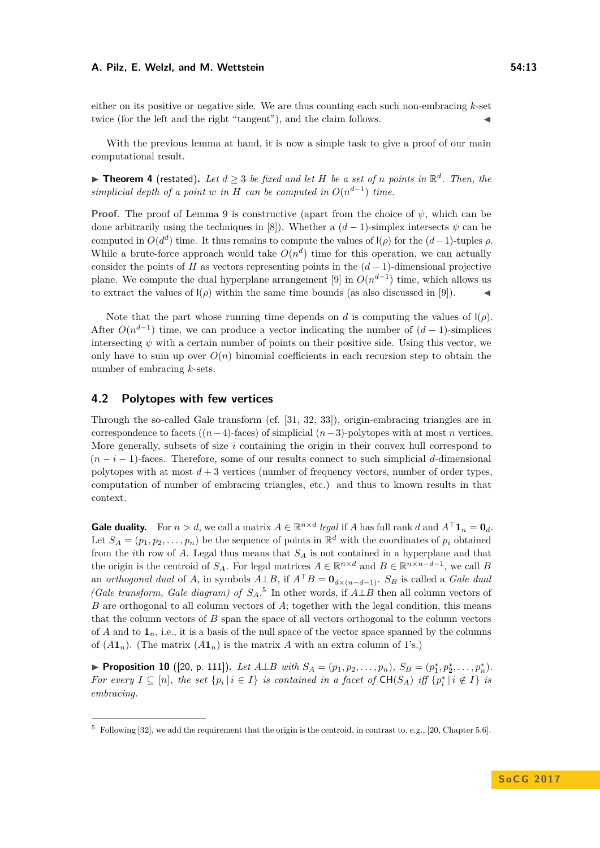either on its positive or negative side. We are thus counting each such non-embracing *k*-set twice (for the left and the right "tangent"), and the claim follows.

With the previous lemma at hand, it is now a simple task to give a proof of our main computational result.

▶ Theorem [4](#page-3-2) (restated). Let  $d \geq 3$  be fixed and let H be a set of *n* points in  $\mathbb{R}^d$ . Then, the *simplicial depth of a point w in H can be computed in*  $O(n^{d-1})$  *time.* 

**Proof.** The proof of Lemma [9](#page-11-0) is constructive (apart from the choice of  $\psi$ , which can be done arbitrarily using the techniques in [\[8\]](#page-14-19)). Whether a  $(d-1)$ -simplex intersects  $\psi$  can be computed in  $O(d^d)$  time. It thus remains to compute the values of  $I(\rho)$  for the  $(d-1)$ -tuples  $\rho$ . While a brute-force approach would take  $O(n^d)$  time for this operation, we can actually consider the points of *H* as vectors representing points in the  $(d-1)$ -dimensional projective plane. We compute the dual hyperplane arrangement [\[9\]](#page-14-20) in  $O(n^{d-1})$  time, which allows us to extract the values of  $\mathcal{L}(\rho)$  within the same time bounds (as also discussed in [\[9\]](#page-14-20)).

Note that the part whose running time depends on *d* is computing the values of  $\mathcal{L}(\rho)$ . After  $O(n^{d-1})$  time, we can produce a vector indicating the number of  $(d-1)$ -simplices intersecting  $\psi$  with a certain number of points on their positive side. Using this vector, we only have to sum up over  $O(n)$  binomial coefficients in each recursion step to obtain the number of embracing *k*-sets.

## **4.2 Polytopes with few vertices**

Through the so-called Gale transform (cf. [\[31,](#page-15-3) [32,](#page-15-4) [33\]](#page-15-5)), origin-embracing triangles are in correspondence to facets ((*n*−4)-faces) of simplicial (*n*−3)-polytopes with at most *n* vertices. More generally, subsets of size *i* containing the origin in their convex hull correspond to (*n* − *i* − 1)-faces. Therefore, some of our results connect to such simplicial *d*-dimensional polytopes with at most  $d + 3$  vertices (number of frequency vectors, number of order types, computation of number of embracing triangles, etc.) and thus to known results in that context.

**Gale duality.** For  $n > d$ , we call a matrix  $A \in \mathbb{R}^{n \times d}$  *legal* if *A* has full rank *d* and  $A^{\top} \mathbf{1}_n = \mathbf{0}_d$ . Let  $S_A = (p_1, p_2, \ldots, p_n)$  be the sequence of points in  $\mathbb{R}^d$  with the coordinates of  $p_i$  obtained from the *i*th row of *A*. Legal thus means that *S<sup>A</sup>* is not contained in a hyperplane and that the origin is the centroid of  $S_A$ . For legal matrices  $A \in \mathbb{R}^{n \times d}$  and  $B \in \mathbb{R}^{n \times n - d - 1}$ , we call B an *orthogonal dual* of *A*, in symbols  $A \perp B$ , if  $A^{\top}B = \mathbf{0}_{d \times (n-d-1)}$ . *S<sub>B</sub>* is called a *Gale dual (Gale transform, Gale diagram) of*  $S_A$ <sup>[5](#page-12-0)</sup> In other words, if  $A \perp B$  then all column vectors of *B* are orthogonal to all column vectors of *A*; together with the legal condition, this means that the column vectors of *B* span the space of all vectors orthogonal to the column vectors of *A* and to  $\mathbf{1}_n$ , i.e., it is a basis of the null space of the vector space spanned by the columns of  $(A\mathbf{1}_n)$ . (The matrix  $(A\mathbf{1}_n)$  is the matrix A with an extra column of 1's.)

<span id="page-12-1"></span>▶ Proposition 10 ([\[20,](#page-14-21) p. 111]). Let  $A \perp B$  with  $S_A = (p_1, p_2, \ldots, p_n)$ ,  $S_B = (p_1^*, p_2^*, \ldots, p_n^*)$ . *For every*  $I \subseteq [n]$ *, the set*  $\{p_i \mid i \in I\}$  *is contained in a facet of*  $\text{CH}(S_A)$  *iff*  $\{p_i^* \mid i \notin I\}$  *is embracing.*

<span id="page-12-0"></span> $5$  Following [\[32\]](#page-15-4), we add the requirement that the origin is the centroid, in contrast to, e.g., [\[20,](#page-14-21) Chapter 5.6].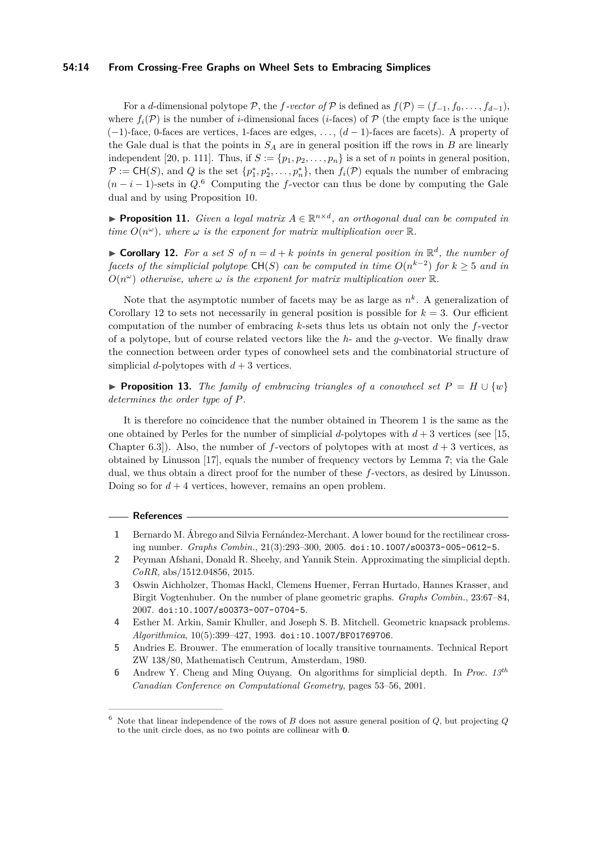## **54:14 From Crossing-Free Graphs on Wheel Sets to Embracing Simplices**

For a *d*-dimensional polytope  $\mathcal{P}$ , the *f*-vector of  $\mathcal{P}$  is defined as  $f(\mathcal{P}) = (f_{-1}, f_0, \ldots, f_{d-1}),$ where  $f_i(\mathcal{P})$  is the number of *i*-dimensional faces (*i*-faces) of  $\mathcal P$  (the empty face is the unique (−1)-face, 0-faces are vertices, 1-faces are edges, . . . , (*d* − 1)-faces are facets). A property of the Gale dual is that the points in  $S_A$  are in general position iff the rows in  $B$  are linearly independent [\[20,](#page-14-21) p. 111]. Thus, if  $S := \{p_1, p_2, \ldots, p_n\}$  is a set of *n* points in general position,  $\mathcal{P} := \mathsf{CH}(S)$ , and *Q* is the set  $\{p_1^*, p_2^*, \ldots, p_n^*\}$ , then  $f_i(\mathcal{P})$  equals the number of embracing  $(n-i-1)$ -sets in  $Q$ .<sup>[6](#page-13-6)</sup> Computing the *f*-vector can thus be done by computing the Gale dual and by using Proposition [10.](#page-12-1)

**Proposition 11.** *Given a legal matrix*  $A \in \mathbb{R}^{n \times d}$ , an orthogonal dual can be computed in *time*  $O(n^{\omega})$ *, where*  $\omega$  *is the exponent for matrix multiplication over*  $\mathbb{R}$ *.* 

<span id="page-13-7"></span>**Corollary 12.** For a set *S* of  $n = d + k$  points in general position in  $\mathbb{R}^d$ , the number of *facets of the simplicial polytope*  $\mathsf{CH}(S)$  *can be computed in time*  $O(n^{k-2})$  *for*  $k \geq 5$  *and in*  $O(n^{\omega})$  *otherwise, where*  $\omega$  *is the exponent for matrix multiplication over*  $\mathbb{R}$ *.* 

Note that the asymptotic number of facets may be as large as  $n^k$ . A generalization of Corollary [12](#page-13-7) to sets not necessarily in general position is possible for  $k = 3$ . Our efficient computation of the number of embracing *k*-sets thus lets us obtain not only the *f*-vector of a polytope, but of course related vectors like the *h*- and the *g*-vector. We finally draw the connection between order types of conowheel sets and the combinatorial structure of simplicial *d*-polytopes with  $d+3$  vertices.

**Proposition 13.** *The family of embracing triangles of a conowheel set*  $P = H \cup \{w\}$ *determines the order type of P.*

It is therefore no coincidence that the number obtained in Theorem [1](#page-1-1) is the same as the one obtained by Perles for the number of simplicial *d*-polytopes with  $d+3$  vertices (see [\[15,](#page-14-2) Chapter 6.3]). Also, the number of *f*-vectors of polytopes with at most *d* + 3 vertices, as obtained by Linusson [\[17\]](#page-14-4), equals the number of frequency vectors by Lemma [7;](#page-10-0) via the Gale dual, we thus obtain a direct proof for the number of these *f*-vectors, as desired by Linusson. Doing so for  $d + 4$  vertices, however, remains an open problem.

## **References**

- <span id="page-13-4"></span>**1** Bernardo M. Ábrego and Silvia Fernández-Merchant. A lower bound for the rectilinear crossing number. *Graphs Combin.*, 21(3):293–300, 2005. [doi:10.1007/s00373-005-0612-5](http://dx.doi.org/10.1007/s00373-005-0612-5).
- <span id="page-13-2"></span>**2** Peyman Afshani, Donald R. Sheehy, and Yannik Stein. Approximating the simplicial depth. *CoRR*, abs/1512.04856, 2015.
- <span id="page-13-0"></span>**3** Oswin Aichholzer, Thomas Hackl, Clemens Huemer, Ferran Hurtado, Hannes Krasser, and Birgit Vogtenhuber. On the number of plane geometric graphs. *Graphs Combin.*, 23:67–84, 2007. [doi:10.1007/s00373-007-0704-5](http://dx.doi.org/10.1007/s00373-007-0704-5).
- <span id="page-13-5"></span>**4** Esther M. Arkin, Samir Khuller, and Joseph S. B. Mitchell. Geometric knapsack problems. *Algorithmica*, 10(5):399–427, 1993. [doi:10.1007/BF01769706](http://dx.doi.org/10.1007/BF01769706).
- <span id="page-13-3"></span>**5** Andries E. Brouwer. The enumeration of locally transitive tournaments. Technical Report ZW 138/80, Mathematisch Centrum, Amsterdam, 1980.
- <span id="page-13-1"></span>**6** Andrew Y. Cheng and Ming Ouyang. On algorithms for simplicial depth. In *Proc. 13th Canadian Conference on Computational Geometry*, pages 53–56, 2001.

<span id="page-13-6"></span><sup>&</sup>lt;sup>6</sup> Note that linear independence of the rows of *B* does not assure general position of *Q*, but projecting *Q* to the unit circle does, as no two points are collinear with **0**.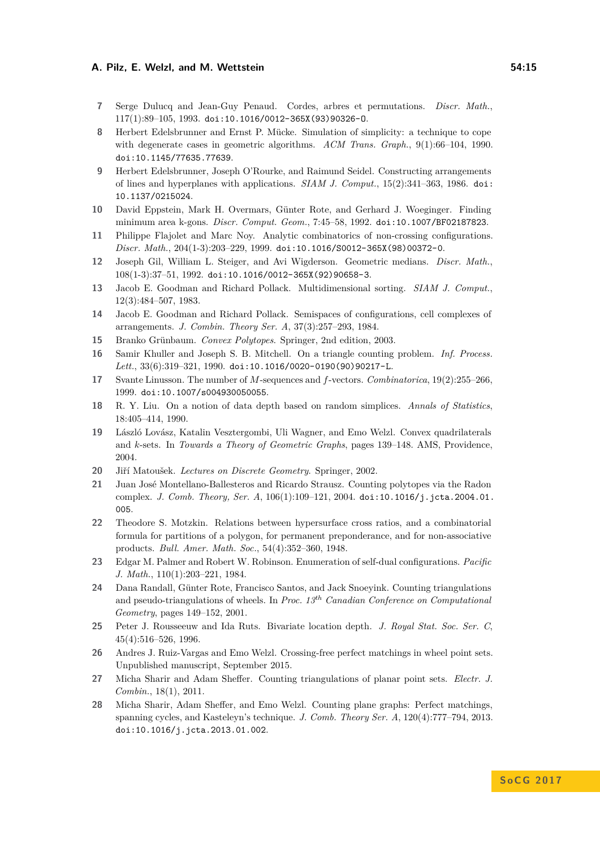- <span id="page-14-7"></span>**7** Serge Dulucq and Jean-Guy Penaud. Cordes, arbres et permutations. *Discr. Math.*, 117(1):89–105, 1993. [doi:10.1016/0012-365X\(93\)90326-O](http://dx.doi.org/10.1016/0012-365X(93)90326-O).
- <span id="page-14-19"></span>**8** Herbert Edelsbrunner and Ernst P. Mücke. Simulation of simplicity: a technique to cope with degenerate cases in geometric algorithms. *ACM Trans. Graph.*, 9(1):66–104, 1990. [doi:10.1145/77635.77639](http://dx.doi.org/10.1145/77635.77639).
- <span id="page-14-20"></span>**9** Herbert Edelsbrunner, Joseph O'Rourke, and Raimund Seidel. Constructing arrangements of lines and hyperplanes with applications. *SIAM J. Comput.*, 15(2):341–363, 1986. [doi:](http://dx.doi.org/10.1137/0215024) [10.1137/0215024](http://dx.doi.org/10.1137/0215024).
- <span id="page-14-18"></span>**10** David Eppstein, Mark H. Overmars, Günter Rote, and Gerhard J. Woeginger. Finding minimum area k-gons. *Discr. Comput. Geom.*, 7:45–58, 1992. [doi:10.1007/BF02187823](http://dx.doi.org/10.1007/BF02187823).
- <span id="page-14-8"></span>**11** Philippe Flajolet and Marc Noy. Analytic combinatorics of non-crossing configurations. *Discr. Math.*, 204(1-3):203–229, 1999. [doi:10.1016/S0012-365X\(98\)00372-0](http://dx.doi.org/10.1016/S0012-365X(98)00372-0).
- <span id="page-14-12"></span>**12** Joseph Gil, William L. Steiger, and Avi Wigderson. Geometric medians. *Discr. Math.*, 108(1-3):37–51, 1992. [doi:10.1016/0012-365X\(92\)90658-3](http://dx.doi.org/10.1016/0012-365X(92)90658-3).
- <span id="page-14-3"></span>**13** Jacob E. Goodman and Richard Pollack. Multidimensional sorting. *SIAM J. Comput.*, 12(3):484–507, 1983.
- <span id="page-14-16"></span>**14** Jacob E. Goodman and Richard Pollack. Semispaces of configurations, cell complexes of arrangements. *J. Combin. Theory Ser. A*, 37(3):257–293, 1984.
- <span id="page-14-2"></span>**15** Branko Grünbaum. *Convex Polytopes*. Springer, 2nd edition, 2003.
- <span id="page-14-13"></span>**16** Samir Khuller and Joseph S. B. Mitchell. On a triangle counting problem. *Inf. Process. Lett.*, 33(6):319–321, 1990. [doi:10.1016/0020-0190\(90\)90217-L](http://dx.doi.org/10.1016/0020-0190(90)90217-L).
- <span id="page-14-4"></span>**17** Svante Linusson. The number of *M*-sequences and *f*-vectors. *Combinatorica*, 19(2):255–266, 1999. [doi:10.1007/s004930050055](http://dx.doi.org/10.1007/s004930050055).
- <span id="page-14-11"></span>**18** R. Y. Liu. On a notion of data depth based on random simplices. *Annals of Statistics*, 18:405–414, 1990.
- <span id="page-14-17"></span>**19** László Lovász, Katalin Vesztergombi, Uli Wagner, and Emo Welzl. Convex quadrilaterals and *k*-sets. In *Towards a Theory of Geometric Graphs*, pages 139–148. AMS, Providence, 2004.
- <span id="page-14-21"></span>**20** Jiří Matoušek. *Lectures on Discrete Geometry*. Springer, 2002.
- <span id="page-14-15"></span>**21** Juan José Montellano-Ballesteros and Ricardo Strausz. Counting polytopes via the Radon complex. *J. Comb. Theory, Ser. A*, 106(1):109–121, 2004. [doi:10.1016/j.jcta.2004.01.](http://dx.doi.org/10.1016/j.jcta.2004.01.005) [005](http://dx.doi.org/10.1016/j.jcta.2004.01.005).
- <span id="page-14-9"></span>**22** Theodore S. Motzkin. Relations between hypersurface cross ratios, and a combinatorial formula for partitions of a polygon, for permanent preponderance, and for non-associative products. *Bull. Amer. Math. Soc.*, 54(4):352–360, 1948.
- <span id="page-14-14"></span>**23** Edgar M. Palmer and Robert W. Robinson. Enumeration of self-dual configurations. *Pacific J. Math.*, 110(1):203–221, 1984.
- <span id="page-14-0"></span>**24** Dana Randall, Günter Rote, Francisco Santos, and Jack Snoeyink. Counting triangulations and pseudo-triangulations of wheels. In *Proc. 13th Canadian Conference on Computational Geometry*, pages 149–152, 2001.
- <span id="page-14-10"></span>**25** Peter J. Rousseeuw and Ida Ruts. Bivariate location depth. *J. Royal Stat. Soc. Ser. C*, 45(4):516–526, 1996.
- <span id="page-14-1"></span>**26** Andres J. Ruiz-Vargas and Emo Welzl. Crossing-free perfect matchings in wheel point sets. Unpublished manuscript, September 2015.
- <span id="page-14-5"></span>**27** Micha Sharir and Adam Sheffer. Counting triangulations of planar point sets. *Electr. J. Combin.*, 18(1), 2011.
- <span id="page-14-6"></span>**28** Micha Sharir, Adam Sheffer, and Emo Welzl. Counting plane graphs: Perfect matchings, spanning cycles, and Kasteleyn's technique. *J. Comb. Theory Ser. A*, 120(4):777–794, 2013. [doi:10.1016/j.jcta.2013.01.002](http://dx.doi.org/10.1016/j.jcta.2013.01.002).